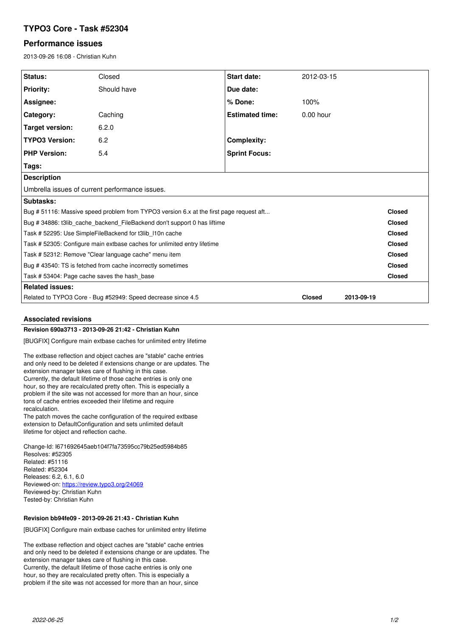# **TYPO3 Core - Task #52304**

## **Performance issues**

2013-09-26 16:08 - Christian Kuhn

| Status:                                                                                 | Closed      | Start date:            | 2012-03-15    |            |               |
|-----------------------------------------------------------------------------------------|-------------|------------------------|---------------|------------|---------------|
| <b>Priority:</b>                                                                        | Should have | Due date:              |               |            |               |
| Assignee:                                                                               |             | % Done:                | 100%          |            |               |
| Category:                                                                               | Caching     | <b>Estimated time:</b> | $0.00$ hour   |            |               |
| <b>Target version:</b>                                                                  | 6.2.0       |                        |               |            |               |
| <b>TYPO3 Version:</b>                                                                   | 6.2         | <b>Complexity:</b>     |               |            |               |
| <b>PHP Version:</b>                                                                     | 5.4         | <b>Sprint Focus:</b>   |               |            |               |
| Tags:                                                                                   |             |                        |               |            |               |
| <b>Description</b>                                                                      |             |                        |               |            |               |
| Umbrella issues of current performance issues.                                          |             |                        |               |            |               |
| Subtasks:                                                                               |             |                        |               |            |               |
| Bug # 51116: Massive speed problem from TYPO3 version 6.x at the first page request aft |             |                        |               |            | <b>Closed</b> |
| Bug # 34886: t3lib cache backend FileBackend don't support 0 has liftime                |             |                        |               |            | <b>Closed</b> |
| Task # 52295: Use SimpleFileBackend for t3lib 110n cache                                |             |                        |               |            | <b>Closed</b> |
| Task # 52305: Configure main extbase caches for unlimited entry lifetime                |             |                        |               |            | <b>Closed</b> |
| Task # 52312: Remove "Clear language cache" menu item                                   |             |                        |               |            | <b>Closed</b> |
| Bug #43540: TS is fetched from cache incorrectly sometimes                              |             |                        |               |            | <b>Closed</b> |
| Task # 53404: Page cache saves the hash base                                            |             |                        |               |            | <b>Closed</b> |
| <b>Related issues:</b>                                                                  |             |                        |               |            |               |
| Related to TYPO3 Core - Bug #52949: Speed decrease since 4.5                            |             |                        | <b>Closed</b> | 2013-09-19 |               |

### **Associated revisions**

## **Revision 690a3713 - 2013-09-26 21:42 - Christian Kuhn**

[BUGFIX] Configure main extbase caches for unlimited entry lifetime

The extbase reflection and object caches are "stable" cache entries and only need to be deleted if extensions change or are updates. The extension manager takes care of flushing in this case. Currently, the default lifetime of those cache entries is only one hour, so they are recalculated pretty often. This is especially a problem if the site was not accessed for more than an hour, since tons of cache entries exceeded their lifetime and require recalculation.

The patch moves the cache configuration of the required extbase extension to DefaultConfiguration and sets unlimited default lifetime for object and reflection cache.

Change-Id: I671692645aeb104f7fa73595cc79b25ed5984b85 Resolves: #52305 Related: #51116 Related: #52304 Releases: 6.2, 6.1, 6.0 Reviewed-on:<https://review.typo3.org/24069> Reviewed-by: Christian Kuhn Tested-by: Christian Kuhn

### **Revision bb94fe09 - 2013-09-26 21:43 - Christian Kuhn**

[BUGFIX] Configure main extbase caches for unlimited entry lifetime

The extbase reflection and object caches are "stable" cache entries and only need to be deleted if extensions change or are updates. The extension manager takes care of flushing in this case. Currently, the default lifetime of those cache entries is only one hour, so they are recalculated pretty often. This is especially a problem if the site was not accessed for more than an hour, since